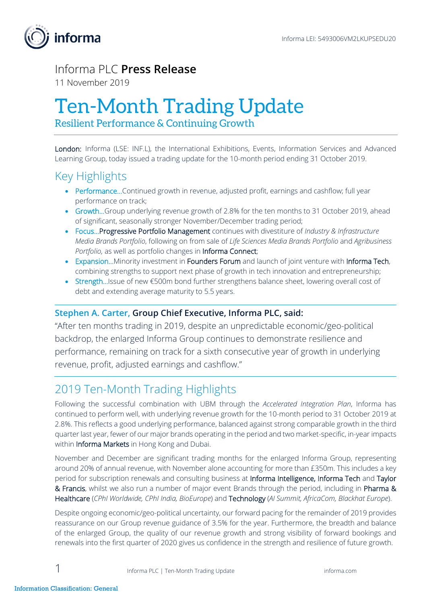

### Informa PLC **Press Release**

11 November 2019

# Ten-Month Trading Update

Resilient Performance & Continuing Growth

London: Informa (LSE: INF.L), the International Exhibitions, Events, Information Services and Advanced Learning Group, today issued a trading update for the 10-month period ending 31 October 2019.

## Key Highlights

- Performance...Continued growth in revenue, adjusted profit, earnings and cashflow; full year performance on track;
- Growth...Group underlying revenue growth of 2.8% for the ten months to 31 October 2019, ahead of significant, seasonally stronger November/December trading period;
- Focus…Progressive Portfolio Management continues with divestiture of *Industry & Infrastructure Media Brands Portfolio*, following on from sale of *Life Sciences Media Brands Portfolio* and *Agribusiness Portfolio, as well as portfolio changes in Informa Connect;*
- Expansion...Minority investment in Founders Forum and launch of joint venture with Informa Tech, combining strengths to support next phase of growth in tech innovation and entrepreneurship;
- Strength…Issue of new €500m bond further strengthens balance sheet, lowering overall cost of debt and extending average maturity to 5.5 years.

### **Stephen A. Carter, Group Chief Executive, Informa PLC, said:**

"After ten months trading in 2019, despite an unpredictable economic/geo-political backdrop, the enlarged Informa Group continues to demonstrate resilience and performance, remaining on track for a sixth consecutive year of growth in underlying revenue, profit, adjusted earnings and cashflow."

### 2019 Ten-Month Trading Highlights

Following the successful combination with UBM through the *Accelerated Integration Plan*, Informa has continued to perform well, with underlying revenue growth for the 10-month period to 31 October 2019 at 2.8%. This reflects a good underlying performance, balanced against strong comparable growth in the third quarter last year, fewer of our major brands operating in the period and two market-specific, in-year impacts within Informa Markets in Hong Kong and Dubai.

November and December are significant trading months for the enlarged Informa Group, representing around 20% of annual revenue, with November alone accounting for more than £350m. This includes a key period for subscription renewals and consulting business at Informa Intelligence, Informa Tech and Taylor & Francis, whilst we also run a number of major event Brands through the period, including in Pharma & Healthcare (*CPhI Worldwide, CPhI India, BioEurope*) and Technology (*AI Summit, AfricaCom, Blackhat Europe*).

Despite ongoing economic/geo-political uncertainty, our forward pacing for the remainder of 2019 provides reassurance on our Group revenue guidance of 3.5% for the year. Furthermore, the breadth and balance of the enlarged Group, the quality of our revenue growth and strong visibility of forward bookings and renewals into the first quarter of 2020 gives us confidence in the strength and resilience of future growth.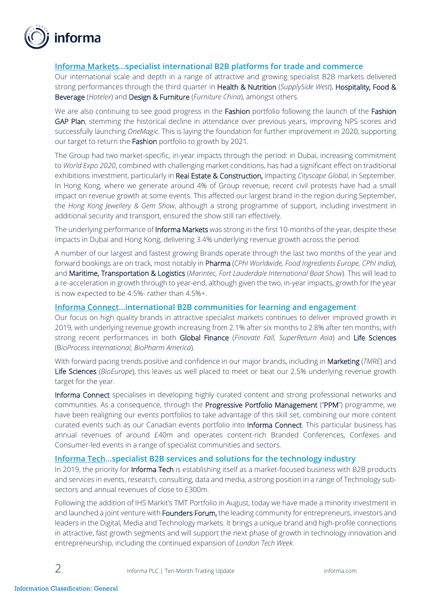

#### **Informa Markets…specialist international B2B platforms for trade and commerce**

Our international scale and depth in a range of attractive and growing specialist B2B markets delivered strong performances through the third quarter in Health & Nutrition (*SupplySide West*), Hospitality, Food & Beverage (*Hotelex*) and Design & Furniture (*Furniture China*), amongst others.

We are also continuing to see good progress in the Fashion portfolio following the launch of the Fashion GAP Plan, stemming the historical decline in attendance over previous years, improving NPS scores and successfully launching *OneMagic*. This is laying the foundation for further improvement in 2020, supporting our target to return the Fashion portfolio to growth by 2021.

The Group had two market-specific, in-year impacts through the period: in Dubai, increasing commitment to *World Expo 2020*, combined with challenging market conditions, has had a significant effect on traditional exhibitions investment, particularly in Real Estate & Construction, impacting *Cityscape Global*, in September. In Hong Kong, where we generate around 4% of Group revenue, recent civil protests have had a small impact on revenue growth at some events. This affected our largest brand in the region during September, the *Hong Kong Jewellery & Gem Show*, although a strong programme of support, including investment in additional security and transport, ensured the show still ran effectively.

The underlying performance of Informa Markets was strong in the first 10-months of the year, despite these impacts in Dubai and Hong Kong, delivering 3.4% underlying revenue growth across the period.

A number of our largest and fastest growing Brands operate through the last two months of the year and forward bookings are on track, most notably in Pharma (*CPhI Worldwide, Food Ingredients Europe, CPhI India*), and Maritime, Transportation & Logistics (*Marintec, Fort Lauderdale International Boat Show*). This will lead to a re-acceleration in growth through to year-end, although given the two, in-year impacts, growth for the year is now expected to be 4.5%- rather than 4.5%+.

#### **Informa Connect…international B2B communities for learning and engagement**

Our focus on high quality brands in attractive specialist markets continues to deliver improved growth in 2019, with underlying revenue growth increasing from 2.1% after six months to 2.8% after ten months, with strong recent performances in both Global Finance (*Finovate Fall, SuperReturn Asia*) and Life Sciences (B*ioProcess International, BioPharm America*).

With forward pacing trends positive and confidence in our major brands, including in Marketing (*TMRE*) and Life Sciences (*BioEurope*), this leaves us well placed to meet or beat our 2.5% underlying revenue growth target for the year.

Informa Connect specialises in developing highly curated content and strong professional networks and communities. As a consequence, through the Progressive Portfolio Management ("PPM") programme, we have been realigning our events portfolios to take advantage of this skill set, combining our more content curated events such as our Canadian events portfolio into Informa Connect. This particular business has annual revenues of around £40m and operates content-rich Branded Conferences, Confexes and Consumer-led events in a range of specialist communities and sectors.

#### **Informa Tech…specialist B2B services and solutions for the technology industry**

In 2019, the priority for **Informa Tech** is establishing itself as a market-focused business with B2B products and services in events, research, consulting, data and media, a strong position in a range of Technology subsectors and annual revenues of close to £300m.

Following the addition of IHS Markit's TMT Portfolio in August, today we have made a minority investment in and launched a joint venture with **Founders Forum,** the leading community for entrepreneurs, investors and leaders in the Digital, Media and Technology markets. It brings a unique brand and high-profile connections in attractive, fast growth segments and will support the next phase of growth in technology innovation and entrepreneurship, including the continued expansion of *London Tech Week*.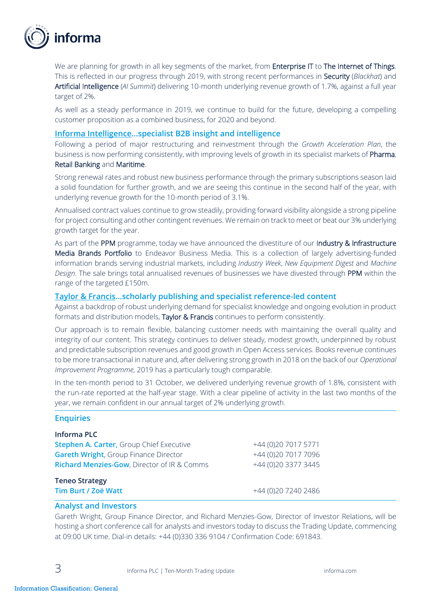

We are planning for growth in all key segments of the market, from Enterprise IT to The Internet of Things. This is reflected in our progress through 2019, with strong recent performances in Security (*Blackhat*) and Artificial Intelligence (*AI Summit*) delivering 10-month underlying revenue growth of 1.7%, against a full year target of 2%.

As well as a steady performance in 2019, we continue to build for the future, developing a compelling customer proposition as a combined business, for 2020 and beyond.

#### **Informa Intelligence…specialist B2B insight and intelligence**

Following a period of major restructuring and reinvestment through the *Growth Acceleration Plan*, the business is now performing consistently, with improving levels of growth in its specialist markets of Pharma, Retail Banking and Maritime.

Strong renewal rates and robust new business performance through the primary subscriptions season laid a solid foundation for further growth, and we are seeing this continue in the second half of the year, with underlying revenue growth for the 10-month period of 3.1%.

Annualised contract values continue to grow steadily, providing forward visibility alongside a strong pipeline for project consulting and other contingent revenues. We remain on track to meet or beat our 3% underlying growth target for the year.

As part of the PPM programme, today we have announced the divestiture of our Industry & Infrastructure Media Brands Portfolio to Endeavor Business Media. This is a collection of largely advertising-funded information brands serving industrial markets, including *Industry Week*, *New Equipment Digest* and *Machine Design*. The sale brings total annualised revenues of businesses we have divested through PPM within the range of the targeted £150m.

#### **Taylor & Francis…scholarly publishing and specialist reference-led content**

Against a backdrop of robust underlying demand for specialist knowledge and ongoing evolution in product formats and distribution models, Taylor & Francis continues to perform consistently.

Our approach is to remain flexible, balancing customer needs with maintaining the overall quality and integrity of our content. This strategy continues to deliver steady, modest growth, underpinned by robust and predictable subscription revenues and good growth in Open Access services. Books revenue continues to be more transactional in nature and, after delivering strong growth in 2018 on the back of our *Operational Improvement Programme*, 2019 has a particularly tough comparable.

In the ten-month period to 31 October, we delivered underlying revenue growth of 1.8%, consistent with the run-rate reported at the half-year stage. With a clear pipeline of activity in the last two months of the year, we remain confident in our annual target of 2% underlying growth.

#### **Enquiries**

| <b>Informa PLC</b>                                     |                      |
|--------------------------------------------------------|----------------------|
| <b>Stephen A. Carter, Group Chief Executive</b>        | +44 (0)20 7017 5771  |
| <b>Gareth Wright, Group Finance Director</b>           | +44 (0) 20 7017 7096 |
| <b>Richard Menzies-Gow, Director of IR &amp; Comms</b> | +44 (0) 20 3377 3445 |
| <b>Teneo Strategy</b>                                  |                      |
| Tim Burt / Zoë Watt                                    | +44 (0) 20 7240 2486 |

#### **Analyst and Investors**

Gareth Wright, Group Finance Director, and Richard Menzies-Gow, Director of Investor Relations, will be hosting a short conference call for analysts and investors today to discuss the Trading Update, commencing at 09:00 UK time. Dial-in details: +44 (0)330 336 9104 / Confirmation Code: 691843.